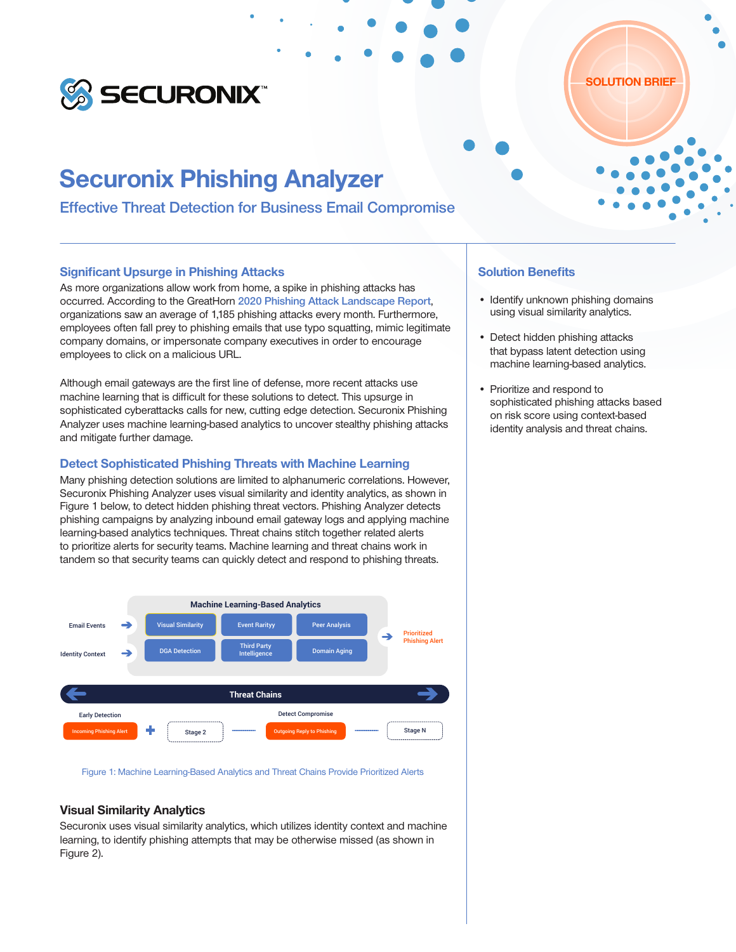

# Securonix Phishing Analyzer

Effective Threat Detection for Business Email Compromise

#### Significant Upsurge in Phishing Attacks

As more organizations allow work from home, a spike in phishing attacks has occurred. According to the GreatHorn [2020 Phishing Attack Landscape Report](https://info.greathorn.com/report-2020-phishing-attack-landscape), organizations saw an average of 1,185 phishing attacks every month. Furthermore, employees often fall prey to phishing emails that use typo squatting, mimic legitimate company domains, or impersonate company executives in order to encourage employees to click on a malicious URL.

Although email gateways are the first line of defense, more recent attacks use machine learning that is difficult for these solutions to detect. This upsurge in sophisticated cyberattacks calls for new, cutting edge detection. Securonix Phishing Analyzer uses machine learning-based analytics to uncover stealthy phishing attacks and mitigate further damage.

#### Detect Sophisticated Phishing Threats with Machine Learning

Many phishing detection solutions are limited to alphanumeric correlations. However, Securonix Phishing Analyzer uses visual similarity and identity analytics, as shown in Figure 1 below, to detect hidden phishing threat vectors. Phishing Analyzer detects phishing campaigns by analyzing inbound email gateway logs and applying machine learning-based analytics techniques. Threat chains stitch together related alerts to prioritize alerts for security teams. Machine learning and threat chains work in tandem so that security teams can quickly detect and respond to phishing threats.



Figure 1: Machine Learning-Based Analytics and Threat Chains Provide Prioritized Alerts

#### Visual Similarity Analytics

Securonix uses visual similarity analytics, which utilizes identity context and machine learning, to identify phishing attempts that may be otherwise missed (as shown in Figure 2).

## Solution Benefits

• Identify unknown phishing domains using visual similarity analytics.

SOLUTION BRIEF

- Detect hidden phishing attacks that bypass latent detection using machine learning-based analytics.
- Prioritize and respond to sophisticated phishing attacks based on risk score using context-based identity analysis and threat chains.